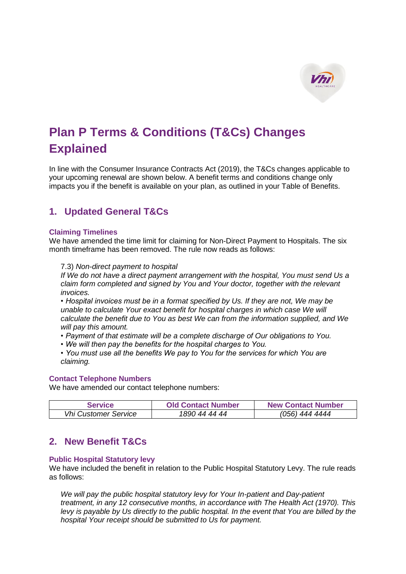

# **Plan P Terms & Conditions (T&Cs) Changes Explained**

In line with the Consumer Insurance Contracts Act (2019), the T&Cs changes applicable to your upcoming renewal are shown below. A benefit terms and conditions change only impacts you if the benefit is available on your plan, as outlined in your Table of Benefits.

## **1. Updated General T&Cs**

#### **Claiming Timelines**

We have amended the time limit for claiming for Non-Direct Payment to Hospitals. The six month timeframe has been removed. The rule now reads as follows:

#### 7.3) *Non-direct payment to hospital*

*If We do not have a direct payment arrangement with the hospital, You must send Us a claim form completed and signed by You and Your doctor, together with the relevant invoices.*

*• Hospital invoices must be in a format specified by Us. If they are not, We may be unable to calculate Your exact benefit for hospital charges in which case We will calculate the benefit due to You as best We can from the information supplied, and We will pay this amount.*

- *Payment of that estimate will be a complete discharge of Our obligations to You.*
- *We will then pay the benefits for the hospital charges to You.*
- *You must use all the benefits We pay to You for the services for which You are claiming.*

### **Contact Telephone Numbers**

We have amended our contact telephone numbers:

| <b>Service</b>              | <b>Old Contact Number</b> | <b>New Contact Number</b> |
|-----------------------------|---------------------------|---------------------------|
| <b>Vhi Customer Service</b> | 1890 44 44 44             | (056) 444 4444            |

## **2. New Benefit T&Cs**

#### **Public Hospital Statutory levy**

We have included the benefit in relation to the Public Hospital Statutory Levy. The rule reads as follows:

*We will pay the public hospital statutory levy for Your In-patient and Day-patient treatment, in any 12 consecutive months, in accordance with The Health Act (1970). This levy is payable by Us directly to the public hospital. In the event that You are billed by the hospital Your receipt should be submitted to Us for payment.*